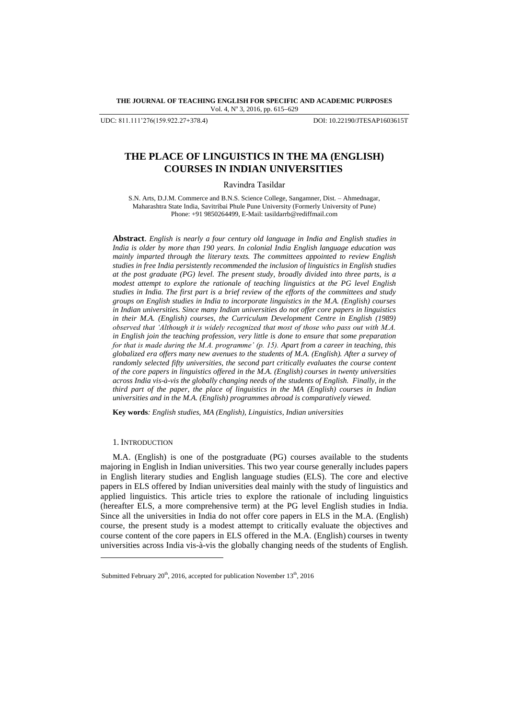**THE JOURNAL OF TEACHING ENGLISH FOR SPECIFIC AND ACADEMIC PURPOSES** Vol. 4, Nº 3, 2016, pp. 615-629

UDC: 811.111'276(159.922.27+378.4) DOI: 10.22190/JTESAP1603615T

# **THE PLACE OF LINGUISTICS IN THE MA (ENGLISH) COURSES IN INDIAN UNIVERSITIES**

Ravindra Tasildar

S.N. Arts, D.J.M. Commerce and B.N.S. Science College, Sangamner, Dist. – Ahmednagar, Maharashtra State India, Savitribai Phule Pune University (Formerly University of Pune) Phone: +91 9850264499, E-Mail: tasildarr[b@rediffmail.com](mailto:shamala@upm.edu.my)

**Abstract**. *English is nearly a four century old language in India and English studies in India is older by more than 190 years. In colonial India English language education was mainly imparted through the literary texts. The committees appointed to review English studies in free India persistently recommended the inclusion of linguistics in English studies at the post graduate (PG) level. The present study, broadly divided into three parts, is a modest attempt to explore the rationale of teaching linguistics at the PG level English studies in India. The first part is a brief review of the efforts of the committees and study groups on English studies in India to incorporate linguistics in the M.A. (English) courses in Indian universities. Since many Indian universities do not offer core papers in linguistics in their M.A. (English) courses, the Curriculum Development Centre in English (1989) observed that 'Although it is widely recognized that most of those who pass out with M.A. in English join the teaching profession, very little is done to ensure that some preparation for that is made during the M.A. programme' (p. 15). Apart from a career in teaching, this globalized era offers many new avenues to the students of M.A. (English). After a survey of randomly selected fifty universities, the second part critically evaluates the course content of the core papers in linguistics offered in the M.A. (English) courses in twenty universities across India vis-à-vis the globally changing needs of the students of English. Finally, in the third part of the paper, the place of linguistics in the MA (English) courses in Indian universities and in the M.A. (English) programmes abroad is comparatively viewed.* 

**Key words***: English studies, MA (English), Linguistics, Indian universities*

#### 1. INTRODUCTION

l

M.A. (English) is one of the postgraduate (PG) courses available to the students majoring in English in Indian universities. This two year course generally includes papers in English literary studies and English language studies (ELS). The core and elective papers in ELS offered by Indian universities deal mainly with the study of linguistics and applied linguistics. This article tries to explore the rationale of including linguistics (hereafter ELS, a more comprehensive term) at the PG level English studies in India. Since all the universities in India do not offer core papers in ELS in the M.A. (English) course, the present study is a modest attempt to critically evaluate the objectives and course content of the core papers in ELS offered in the M.A. (English) courses in twenty universities across India vis-à-vis the globally changing needs of the students of English.

Submitted February 20<sup>th</sup>, 2016, accepted for publication November 13<sup>th</sup>, 2016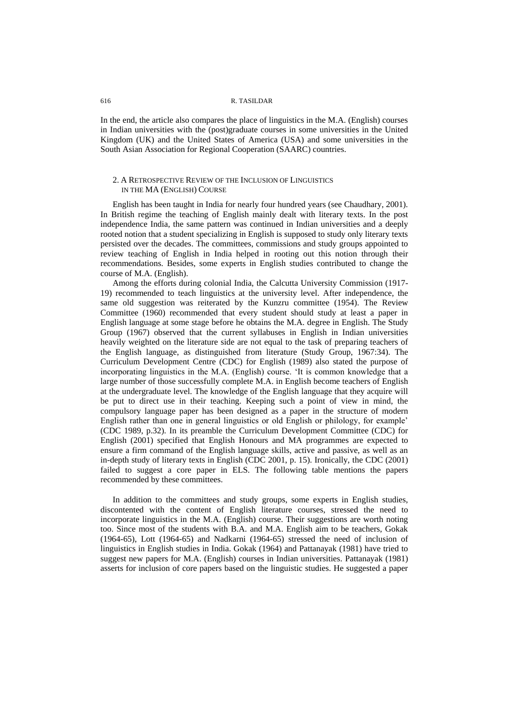In the end, the article also compares the place of linguistics in the M.A. (English) courses in Indian universities with the (post)graduate courses in some universities in the United Kingdom (UK) and the United States of America (USA) and some universities in the South Asian Association for Regional Cooperation (SAARC) countries.

## 2. A RETROSPECTIVE REVIEW OF THE INCLUSION OF LINGUISTICS IN THE MA (ENGLISH) COURSE

English has been taught in India for nearly four hundred years (see Chaudhary, 2001)*.* In British regime the teaching of English mainly dealt with literary texts. In the post independence India, the same pattern was continued in Indian universities and a deeply rooted notion that a student specializing in English is supposed to study only literary texts persisted over the decades. The committees, commissions and study groups appointed to review teaching of English in India helped in rooting out this notion through their recommendations. Besides, some experts in English studies contributed to change the course of M.A. (English).

Among the efforts during colonial India, the Calcutta University Commission (1917- 19) recommended to teach linguistics at the university level. After independence, the same old suggestion was reiterated by the Kunzru committee (1954). The Review Committee (1960) recommended that every student should study at least a paper in English language at some stage before he obtains the M.A. degree in English. The Study Group (1967) observed that the current syllabuses in English in Indian universities heavily weighted on the literature side are not equal to the task of preparing teachers of the English language, as distinguished from literature (Study Group, 1967:34). The Curriculum Development Centre (CDC) for English (1989) also stated the purpose of incorporating linguistics in the M.A. (English) course. "It is common knowledge that a large number of those successfully complete M.A. in English become teachers of English at the undergraduate level. The knowledge of the English language that they acquire will be put to direct use in their teaching. Keeping such a point of view in mind, the compulsory language paper has been designed as a paper in the structure of modern English rather than one in general linguistics or old English or philology, for example" (CDC 1989, p.32). In its preamble the Curriculum Development Committee (CDC) for English (2001) specified that English Honours and MA programmes are expected to ensure a firm command of the English language skills, active and passive, as well as an in-depth study of literary texts in English (CDC 2001, p. 15). Ironically, the CDC (2001) failed to suggest a core paper in ELS. The following table mentions the papers recommended by these committees.

In addition to the committees and study groups, some experts in English studies, discontented with the content of English literature courses, stressed the need to incorporate linguistics in the M.A. (English) course. Their suggestions are worth noting too. Since most of the students with B.A. and M.A. English aim to be teachers, Gokak (1964-65), Lott (1964-65) and Nadkarni (1964-65) stressed the need of inclusion of linguistics in English studies in India. Gokak (1964) and Pattanayak (1981) have tried to suggest new papers for M.A. (English) courses in Indian universities. Pattanayak (1981) asserts for inclusion of core papers based on the linguistic studies. He suggested a paper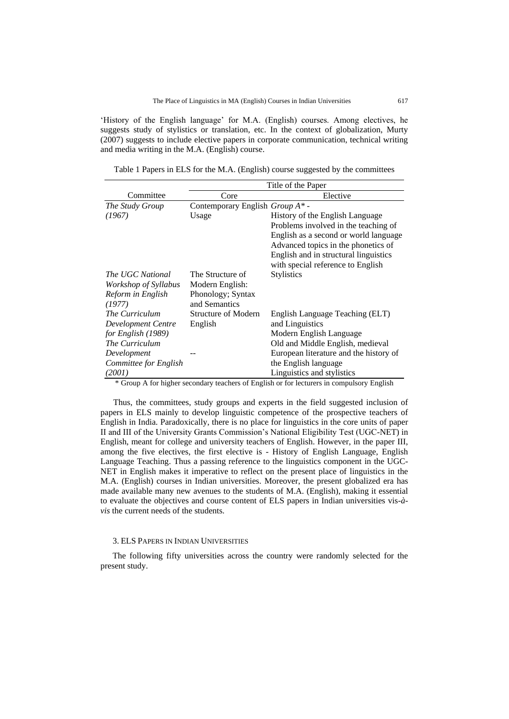'History of the English language' for M.A. (English) courses. Among electives, he suggests study of stylistics or translation, etc. In the context of globalization, Murty (2007) suggests to include elective papers in corporate communication, technical writing and media writing in the M.A. (English) course.

Table 1 Papers in ELS for the M.A. (English) course suggested by the committees

|                                | Title of the Paper                     |  |  |  |  |  |
|--------------------------------|----------------------------------------|--|--|--|--|--|
| Core                           | Elective                               |  |  |  |  |  |
| Contemporary English Group A*- |                                        |  |  |  |  |  |
| Usage                          | History of the English Language        |  |  |  |  |  |
|                                | Problems involved in the teaching of   |  |  |  |  |  |
|                                | English as a second or world language  |  |  |  |  |  |
|                                | Advanced topics in the phonetics of    |  |  |  |  |  |
|                                | English and in structural linguistics  |  |  |  |  |  |
|                                | with special reference to English      |  |  |  |  |  |
| The Structure of               | <b>Stylistics</b>                      |  |  |  |  |  |
| Modern English:                |                                        |  |  |  |  |  |
| Phonology; Syntax              |                                        |  |  |  |  |  |
| and Semantics                  |                                        |  |  |  |  |  |
| <b>Structure of Modern</b>     | English Language Teaching (ELT)        |  |  |  |  |  |
| English                        | and Linguistics                        |  |  |  |  |  |
|                                | Modern English Language                |  |  |  |  |  |
|                                | Old and Middle English, medieval       |  |  |  |  |  |
|                                | European literature and the history of |  |  |  |  |  |
|                                | the English language                   |  |  |  |  |  |
|                                | Linguistics and stylistics             |  |  |  |  |  |
|                                | $\sim$ $\sim$<br>. .                   |  |  |  |  |  |

\* Group A for higher secondary teachers of English or for lecturers in compulsory English

 Thus, the committees, study groups and experts in the field suggested inclusion of papers in ELS mainly to develop linguistic competence of the prospective teachers of English in India. Paradoxically, there is no place for linguistics in the core units of paper II and III of the University Grants Commission"s National Eligibility Test (UGC-NET) in English, meant for college and university teachers of English. However, in the paper III, among the five electives, the first elective is - History of English Language, English Language Teaching. Thus a passing reference to the linguistics component in the UGC-NET in English makes it imperative to reflect on the present place of linguistics in the M.A. (English) courses in Indian universities. Moreover, the present globalized era has made available many new avenues to the students of M.A. (English), making it essential to evaluate the objectives and course content of ELS papers in Indian universities vis*-àvis* the current needs of the students.

### 3. ELS PAPERS IN INDIAN UNIVERSITIES

The following fifty universities across the country were randomly selected for the present study.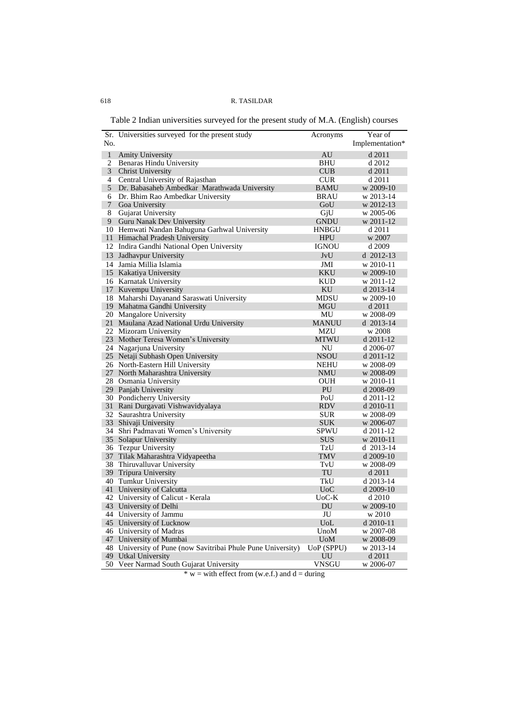Table 2 Indian universities surveyed for the present study of M.A. (English) courses

|                | Sr. Universities surveyed for the present study              | Acronyms         | Year of         |
|----------------|--------------------------------------------------------------|------------------|-----------------|
| No.            |                                                              |                  | Implementation* |
|                |                                                              |                  |                 |
| $\mathbf{1}$   | Amity University                                             | AU               | d 2011          |
| $\overline{2}$ | Benaras Hindu University                                     | BHU              | d 2012          |
| 3              | <b>Christ University</b>                                     | <b>CUB</b>       | d 2011          |
| 4              | Central University of Rajasthan                              | <b>CUR</b>       | d 2011          |
| 5              | Dr. Babasaheb Ambedkar Marathwada University                 | <b>BAMU</b>      | w 2009-10       |
| 6              | Dr. Bhim Rao Ambedkar University                             | <b>BRAU</b>      | w 2013-14       |
| 7              | Goa University                                               | GoU              | w 2012-13       |
| 8              | <b>Gujarat University</b>                                    | GjU              | w 2005-06       |
| 9              | Guru Nanak Dev University                                    | <b>GNDU</b>      | w 2011-12       |
| 10             | Hemwati Nandan Bahuguna Garhwal University                   | HNBGU            | d 2011          |
| 11             | Himachal Pradesh University                                  | <b>HPU</b>       | w 2007          |
|                | 12 Indira Gandhi National Open University                    | <b>IGNOU</b>     | d 2009          |
|                | 13 Jadhavpur University                                      | JvU              | $d$ 2012-13     |
|                | 14 Jamia Millia Islamia                                      | JMI              | w 2010-11       |
|                | 15 Kakatiya University                                       | KKU              | w 2009-10       |
|                | 16 Karnatak University                                       | KUD              | w 2011-12       |
|                | 17 Kuvempu University                                        | KU               | d 2013-14       |
|                | 18 Maharshi Dayanand Saraswati University                    | MDSU             | w 2009-10       |
|                | 19 Mahatma Gandhi University                                 | <b>MGU</b>       | d 2011          |
|                | 20 Mangalore University                                      | MU               | w 2008-09       |
|                | 21 Maulana Azad National Urdu University                     | <b>MANUU</b>     | d 2013-14       |
|                | 22 Mizoram University                                        | MZU              | w 2008          |
|                | 23 Mother Teresa Women's University                          | MTWU             | d 2011-12       |
|                | 24 Nagarjuna University                                      | NU               | d 2006-07       |
|                | 25 Netaji Subhash Open University                            | <b>NSOU</b>      | d 2011-12       |
|                | 26 North-Eastern Hill University                             | <b>NEHU</b>      | w 2008-09       |
|                | 27 North Maharashtra University                              | <b>NMU</b>       | w 2008-09       |
|                | 28 Osmania University                                        | <b>OUH</b>       | w 2010-11       |
|                | 29 Panjab University                                         | PU               | d 2008-09       |
|                | 30 Pondicherry University                                    | PoU              | d 2011-12       |
|                | 31 Rani Durgavati Vishwavidyalaya                            | <b>RDV</b>       | d 2010-11       |
|                | 32 Saurashtra University                                     | <b>SUR</b>       | w 2008-09       |
|                | 33 Shivaji University                                        | <b>SUK</b>       | w 2006-07       |
|                | 34 Shri Padmavati Women's University                         | <b>SPWU</b>      | $d$ 2011-12     |
|                | 35 Solapur University                                        | <b>SUS</b>       | w 2010-11       |
|                | 36 Tezpur University                                         | TzU              | d 2013-14       |
|                | 37 Tilak Maharashtra Vidyapeetha                             | TMV              | $d$ 2009-10     |
|                | 38 Thiruvalluvar University                                  | TvU              | w 2008-09       |
|                | 39 Tripura University                                        | TU               | d 2011          |
|                | 40 Tumkur University                                         | TkU              | d 2013-14       |
|                | 41 University of Calcutta                                    | U <sub>0</sub> C | d 2009-10       |
|                | 42 University of Calicut - Kerala                            | $UoC-K$          | d 2010          |
|                | 43 University of Delhi                                       | DU               | w 2009-10       |
|                | 44 University of Jammu                                       | JU               | w 2010          |
|                | 45 University of Lucknow                                     | UoL              | d 2010-11       |
|                | 46 University of Madras                                      | UnoM             | w 2007-08       |
|                | 47 University of Mumbai                                      | <b>UoM</b>       | w 2008-09       |
|                | 48 University of Pune (now Savitribai Phule Pune University) | UoP (SPPU)       | w 2013-14       |
|                | 49 Utkal University                                          | UU               | d 2011          |
|                | 50 Veer Narmad South Gujarat University                      | VNSGU            | w 2006-07       |

 $* w =$  with effect from (w.e.f.) and  $d =$  during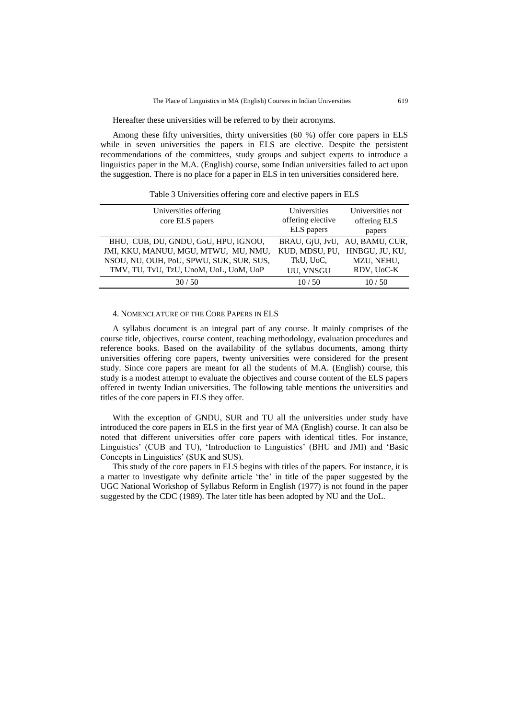Hereafter these universities will be referred to by their acronyms.

Among these fifty universities, thirty universities (60 %) offer core papers in ELS while in seven universities the papers in ELS are elective. Despite the persistent recommendations of the committees, study groups and subject experts to introduce a linguistics paper in the M.A. (English) course, some Indian universities failed to act upon the suggestion. There is no place for a paper in ELS in ten universities considered here.

Table 3 Universities offering core and elective papers in ELS

| Universities offering                    | Universities      | Universities not |  |  |
|------------------------------------------|-------------------|------------------|--|--|
| core ELS papers                          | offering elective | offering ELS     |  |  |
|                                          | ELS papers        | papers           |  |  |
| BHU, CUB, DU, GNDU, GoU, HPU, IGNOU,     | BRAU, GjU, JvU,   | AU, BAMU, CUR,   |  |  |
| JMI, KKU, MANUU, MGU, MTWU, MU, NMU,     | KUD, MDSU, PU,    | HNBGU, JU, KU,   |  |  |
| NSOU, NU, OUH, PoU, SPWU, SUK, SUR, SUS, | TkU, UoC.         | MZU, NEHU,       |  |  |
| TMV, TU, TvU, TzU, UnoM, UoL, UoM, UoP   | UU, VNSGU         | RDV, UoC-K       |  |  |
| 30/50                                    | 10/50             | 10/50            |  |  |

## 4. NOMENCLATURE OF THE CORE PAPERS IN ELS

A syllabus document is an integral part of any course. It mainly comprises of the course title, objectives, course content, teaching methodology, evaluation procedures and reference books. Based on the availability of the syllabus documents, among thirty universities offering core papers, twenty universities were considered for the present study. Since core papers are meant for all the students of M.A. (English) course, this study is a modest attempt to evaluate the objectives and course content of the ELS papers offered in twenty Indian universities. The following table mentions the universities and titles of the core papers in ELS they offer.

With the exception of GNDU, SUR and TU all the universities under study have introduced the core papers in ELS in the first year of MA (English) course. It can also be noted that different universities offer core papers with identical titles. For instance, Linguistics" (CUB and TU), "Introduction to Linguistics" (BHU and JMI) and "Basic Concepts in Linguistics" (SUK and SUS).

This study of the core papers in ELS begins with titles of the papers. For instance, it is a matter to investigate why definite article "the" in title of the paper suggested by the UGC National Workshop of Syllabus Reform in English (1977) is not found in the paper suggested by the CDC (1989). The later title has been adopted by NU and the UoL.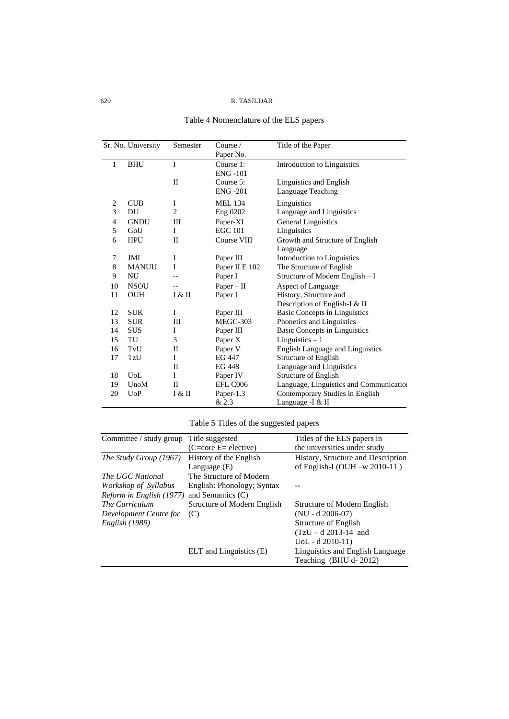| Table 4 Nomenclature of the ELS papers |  |  |  |
|----------------------------------------|--|--|--|
|----------------------------------------|--|--|--|

|                | Sr. No. University | Semester       | Course $\sqrt{ }$<br>Paper No. | Title of the Paper                          |
|----------------|--------------------|----------------|--------------------------------|---------------------------------------------|
| 1              | <b>BHU</b>         | I              | Course 1:<br><b>ENG-101</b>    | Introduction to Linguistics                 |
|                |                    | $\mathbf{I}$   | Course 5:                      | Linguistics and English                     |
|                |                    |                | <b>ENG-201</b>                 | Language Teaching                           |
| $\overline{c}$ | <b>CUB</b>         | I              | <b>MEL 134</b>                 | Linguistics                                 |
| 3              | DU                 | $\overline{c}$ | Eng 0202                       | Language and Linguistics                    |
| $\overline{4}$ | <b>GNDU</b>        | Ш              | Paper-XI                       | <b>General Linguistics</b>                  |
| 5              | GoU                | I              | <b>EGC 101</b>                 | Linguistics                                 |
| 6              | <b>HPU</b>         | П              | Course VIII                    | Growth and Structure of English<br>Language |
| 7              | JMI                | I              | Paper III                      | Introduction to Linguistics                 |
| 8              | <b>MANUU</b>       | Ι              | Paper II E 102                 | The Structure of English                    |
| 9              | NU                 |                | Paper I                        | Structure of Modern English - I             |
| 10             | <b>NSOU</b>        |                | $Paper - II$                   | Aspect of Language                          |
| 11             | <b>OUH</b>         | I & II         | Paper I                        | History, Structure and                      |
|                |                    |                |                                | Description of English-I & II               |
| 12             | <b>SUK</b>         | I              | Paper III                      | <b>Basic Concepts in Linguistics</b>        |
| 13             | <b>SUR</b>         | Ш              | MEGC-303                       | Phonetics and Linguistics                   |
| 14             | <b>SUS</b>         | I              | Paper III                      | Basic Concepts in Linguistics               |
| 15             | TU                 | 3              | Paper X                        | Linguistics $-1$                            |
| 16             | TvU                | П              | Paper V                        | <b>English Language and Linguistics</b>     |
| 17             | TzU                | Ι              | EG 447                         | <b>Structure of English</b>                 |
|                |                    | П              | EG 448                         | Language and Linguistics                    |
| 18             | UoL                | I              | Paper IV                       | <b>Structure of English</b>                 |
| 19             | UnoM               | П              | EFL C006                       | Language, Linguistics and Communication     |
| 20             | U <sub>0</sub> P   | I & II         | Paper-1.3                      | Contemporary Studies in English             |
|                |                    |                | & 2.3                          | Language -I & II                            |

# Table 5 Titles of the suggested papers

| Committee / study group Title suggested |                             | Titles of the ELS papers in        |
|-----------------------------------------|-----------------------------|------------------------------------|
|                                         | $(C=core E= electric)$      | the universities under study       |
| The Study Group (1967)                  | History of the English      | History, Structure and Description |
|                                         | Language $(E)$              | of English-I (OUH $-w$ 2010-11)    |
| The UGC National                        | The Structure of Modern     |                                    |
| Workshop of Syllabus                    | English: Phonology; Syntax  |                                    |
| Reform in English (1977)                | and Semantics $(C)$         |                                    |
| The Curriculum                          | Structure of Modern English | Structure of Modern English        |
| Development Centre for                  | (C)                         | $(NU - d 2006-07)$                 |
| <i>English</i> (1989)                   |                             | Structure of English               |
|                                         |                             | $(TzU - d\ 2013 - 14$ and          |
|                                         |                             | $UoL - d$ 2010-11)                 |
|                                         | ELT and Linguistics (E)     | Linguistics and English Language   |
|                                         |                             | Teaching (BHU d-2012)              |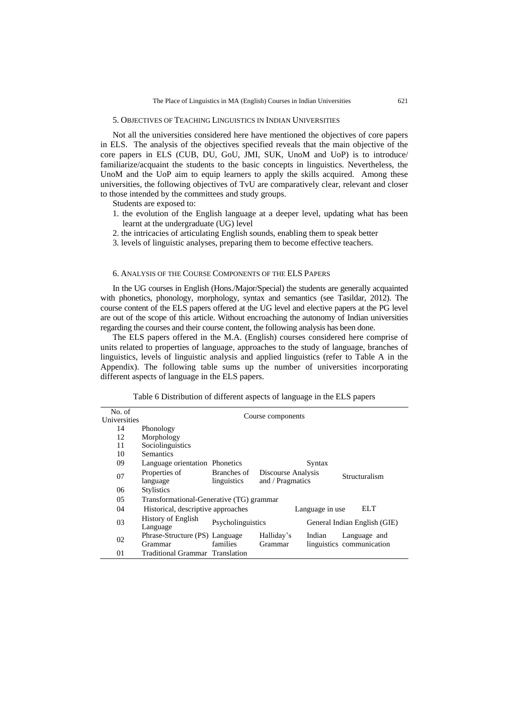#### 5. OBJECTIVES OF TEACHING LINGUISTICS IN INDIAN UNIVERSITIES

Not all the universities considered here have mentioned the objectives of core papers in ELS. The analysis of the objectives specified reveals that the main objective of the core papers in ELS (CUB, DU, GoU, JMI, SUK, UnoM and UoP) is to introduce/ familiarize/acquaint the students to the basic concepts in linguistics. Nevertheless, the UnoM and the UoP aim to equip learners to apply the skills acquired. Among these universities, the following objectives of TvU are comparatively clear, relevant and closer to those intended by the committees and study groups.

Students are exposed to:

- 1. the evolution of the English language at a deeper level, updating what has been learnt at the undergraduate (UG) level
- 2. the intricacies of articulating English sounds, enabling them to speak better
- 3. levels of linguistic analyses, preparing them to become effective teachers.

#### 6. ANALYSIS OF THE COURSE COMPONENTS OF THE ELS PAPERS

In the UG courses in English (Hons./Major/Special) the students are generally acquainted with phonetics, phonology, morphology, syntax and semantics (see Tasildar, 2012). The course content of the ELS papers offered at the UG level and elective papers at the PG level are out of the scope of this article. Without encroaching the autonomy of Indian universities regarding the courses and their course content, the following analysis has been done.

The ELS papers offered in the M.A. (English) courses considered here comprise of units related to properties of language, approaches to the study of language, branches of linguistics, levels of linguistic analysis and applied linguistics (refer to Table A in the Appendix). The following table sums up the number of universities incorporating different aspects of language in the ELS papers.

Table 6 Distribution of different aspects of language in the ELS papers

| No. of       | Course components                        |                   |                              |                 |                           |  |  |  |  |  |  |  |  |
|--------------|------------------------------------------|-------------------|------------------------------|-----------------|---------------------------|--|--|--|--|--|--|--|--|
| Universities |                                          |                   |                              |                 |                           |  |  |  |  |  |  |  |  |
| 14           | Phonology                                |                   |                              |                 |                           |  |  |  |  |  |  |  |  |
| 12           | Morphology                               |                   |                              |                 |                           |  |  |  |  |  |  |  |  |
| 11           | Sociolinguistics                         |                   |                              |                 |                           |  |  |  |  |  |  |  |  |
| 10           | <b>Semantics</b>                         |                   |                              |                 |                           |  |  |  |  |  |  |  |  |
| 09           | Language orientation Phonetics<br>Syntax |                   |                              |                 |                           |  |  |  |  |  |  |  |  |
| 07           | Properties of                            | Branches of       | Discourse Analysis           |                 |                           |  |  |  |  |  |  |  |  |
|              | language                                 | linguistics       | and / Pragmatics             | Structuralism   |                           |  |  |  |  |  |  |  |  |
| 06           | <b>Stylistics</b>                        |                   |                              |                 |                           |  |  |  |  |  |  |  |  |
| 05           | Transformational-Generative (TG) grammar |                   |                              |                 |                           |  |  |  |  |  |  |  |  |
| 04           | Historical, descriptive approaches       |                   |                              | Language in use | ELT.                      |  |  |  |  |  |  |  |  |
| 03           | <b>History of English</b><br>Language    | Psycholinguistics | General Indian English (GIE) |                 |                           |  |  |  |  |  |  |  |  |
|              | Phrase-Structure (PS) Language           |                   | Halliday's                   | Indian          | Language and              |  |  |  |  |  |  |  |  |
| 02           | Grammar                                  | families          | Grammar                      |                 | linguistics communication |  |  |  |  |  |  |  |  |
| 01           | Traditional Grammar Translation          |                   |                              |                 |                           |  |  |  |  |  |  |  |  |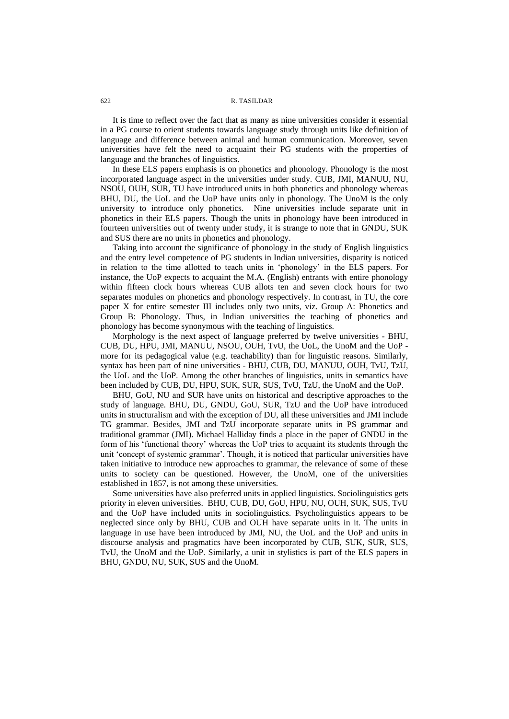It is time to reflect over the fact that as many as nine universities consider it essential in a PG course to orient students towards language study through units like definition of language and difference between animal and human communication. Moreover, seven universities have felt the need to acquaint their PG students with the properties of language and the branches of linguistics.

In these ELS papers emphasis is on phonetics and phonology. Phonology is the most incorporated language aspect in the universities under study. CUB, JMI, MANUU, NU, NSOU, OUH, SUR, TU have introduced units in both phonetics and phonology whereas BHU, DU, the UoL and the UoP have units only in phonology. The UnoM is the only university to introduce only phonetics. Nine universities include separate unit in phonetics in their ELS papers. Though the units in phonology have been introduced in fourteen universities out of twenty under study, it is strange to note that in GNDU, SUK and SUS there are no units in phonetics and phonology.

Taking into account the significance of phonology in the study of English linguistics and the entry level competence of PG students in Indian universities, disparity is noticed in relation to the time allotted to teach units in "phonology" in the ELS papers. For instance, the UoP expects to acquaint the M.A. (English) entrants with entire phonology within fifteen clock hours whereas CUB allots ten and seven clock hours for two separates modules on phonetics and phonology respectively. In contrast, in TU, the core paper X for entire semester III includes only two units, viz. Group A: Phonetics and Group B: Phonology. Thus, in Indian universities the teaching of phonetics and phonology has become synonymous with the teaching of linguistics.

Morphology is the next aspect of language preferred by twelve universities - BHU, CUB, DU, HPU, JMI, MANUU, NSOU, OUH, TvU, the UoL, the UnoM and the UoP more for its pedagogical value (e.g. teachability) than for linguistic reasons. Similarly, syntax has been part of nine universities - BHU, CUB, DU, MANUU, OUH, TvU, TzU, the UoL and the UoP. Among the other branches of linguistics, units in semantics have been included by CUB, DU, HPU, SUK, SUR, SUS, TvU, TzU, the UnoM and the UoP.

BHU, GoU, NU and SUR have units on historical and descriptive approaches to the study of language. BHU, DU, GNDU, GoU, SUR, TzU and the UoP have introduced units in structuralism and with the exception of DU, all these universities and JMI include TG grammar. Besides, JMI and TzU incorporate separate units in PS grammar and traditional grammar (JMI). Michael Halliday finds a place in the paper of GNDU in the form of his "functional theory" whereas the UoP tries to acquaint its students through the unit 'concept of systemic grammar'. Though, it is noticed that particular universities have taken initiative to introduce new approaches to grammar, the relevance of some of these units to society can be questioned. However, the UnoM, one of the universities established in 1857, is not among these universities.

Some universities have also preferred units in applied linguistics. Sociolinguistics gets priority in eleven universities. BHU, CUB, DU, GoU, HPU, NU, OUH, SUK, SUS, TvU and the UoP have included units in sociolinguistics. Psycholinguistics appears to be neglected since only by BHU, CUB and OUH have separate units in it. The units in language in use have been introduced by JMI, NU, the UoL and the UoP and units in discourse analysis and pragmatics have been incorporated by CUB, SUK, SUR, SUS, TvU, the UnoM and the UoP. Similarly, a unit in stylistics is part of the ELS papers in BHU, GNDU, NU, SUK, SUS and the UnoM.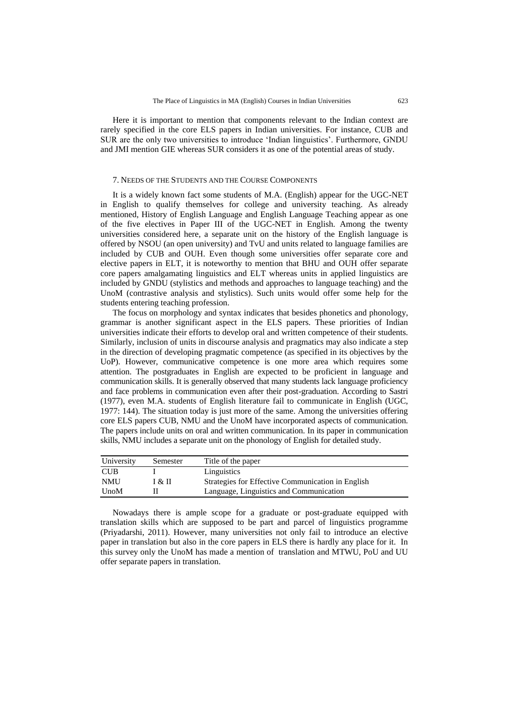Here it is important to mention that components relevant to the Indian context are rarely specified in the core ELS papers in Indian universities. For instance, CUB and SUR are the only two universities to introduce "Indian linguistics". Furthermore, GNDU and JMI mention GIE whereas SUR considers it as one of the potential areas of study.

#### 7. NEEDS OF THE STUDENTS AND THE COURSE COMPONENTS

It is a widely known fact some students of M.A. (English) appear for the UGC-NET in English to qualify themselves for college and university teaching. As already mentioned, History of English Language and English Language Teaching appear as one of the five electives in Paper III of the UGC-NET in English. Among the twenty universities considered here, a separate unit on the history of the English language is offered by NSOU (an open university) and TvU and units related to language families are included by CUB and OUH. Even though some universities offer separate core and elective papers in ELT, it is noteworthy to mention that BHU and OUH offer separate core papers amalgamating linguistics and ELT whereas units in applied linguistics are included by GNDU (stylistics and methods and approaches to language teaching) and the UnoM (contrastive analysis and stylistics). Such units would offer some help for the students entering teaching profession.

The focus on morphology and syntax indicates that besides phonetics and phonology, grammar is another significant aspect in the ELS papers. These priorities of Indian universities indicate their efforts to develop oral and written competence of their students. Similarly, inclusion of units in discourse analysis and pragmatics may also indicate a step in the direction of developing pragmatic competence (as specified in its objectives by the UoP). However, communicative competence is one more area which requires some attention. The postgraduates in English are expected to be proficient in language and communication skills. It is generally observed that many students lack language proficiency and face problems in communication even after their post-graduation. According to Sastri (1977), even M.A. students of English literature fail to communicate in English (UGC, 1977: 144). The situation today is just more of the same. Among the universities offering core ELS papers CUB, NMU and the UnoM have incorporated aspects of communication. The papers include units on oral and written communication. In its paper in communication skills, NMU includes a separate unit on the phonology of English for detailed study.

| University  | Semester | Title of the paper                                |
|-------------|----------|---------------------------------------------------|
| <b>CUB</b>  |          | Linguistics                                       |
| <b>NMU</b>  | I & II   | Strategies for Effective Communication in English |
| <b>UnoM</b> |          | Language, Linguistics and Communication           |

Nowadays there is ample scope for a graduate or post-graduate equipped with translation skills which are supposed to be part and parcel of linguistics programme (Priyadarshi, 2011). However, many universities not only fail to introduce an elective paper in translation but also in the core papers in ELS there is hardly any place for it. In this survey only the UnoM has made a mention of translation and MTWU, PoU and UU offer separate papers in translation.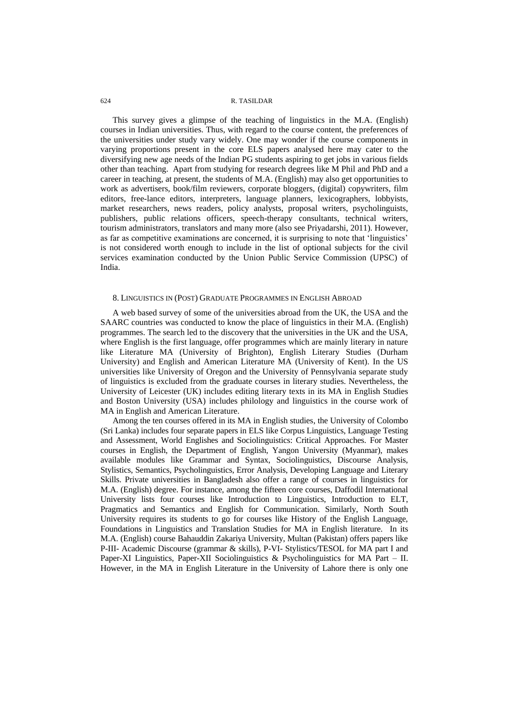This survey gives a glimpse of the teaching of linguistics in the M.A. (English) courses in Indian universities. Thus, with regard to the course content, the preferences of the universities under study vary widely. One may wonder if the course components in varying proportions present in the core ELS papers analysed here may cater to the diversifying new age needs of the Indian PG students aspiring to get jobs in various fields other than teaching. Apart from studying for research degrees like M Phil and PhD and a career in teaching, at present, the students of M.A. (English) may also get opportunities to work as advertisers, book/film reviewers, corporate bloggers, (digital) copywriters, film editors, free-lance editors, interpreters, language planners, lexicographers, lobbyists, market researchers, news readers, policy analysts, proposal writers, psycholinguists, publishers, public relations officers, speech-therapy consultants, technical writers, tourism administrators, translators and many more (also see Priyadarshi, 2011). However, as far as competitive examinations are concerned, it is surprising to note that 'linguistics' is not considered worth enough to include in the list of optional subjects for the civil services examination conducted by the Union Public Service Commission (UPSC) of India.

#### 8. LINGUISTICS IN (POST) GRADUATE PROGRAMMES IN ENGLISH ABROAD

A web based survey of some of the universities abroad from the UK, the USA and the SAARC countries was conducted to know the place of linguistics in their M.A. (English) programmes. The search led to the discovery that the universities in the UK and the USA, where English is the first language, offer programmes which are mainly literary in nature like Literature MA (University of Brighton), English Literary Studies (Durham University) and English and American Literature MA (University of Kent). In the US universities like University of Oregon and the University of Pennsylvania separate study of linguistics is excluded from the graduate courses in literary studies. Nevertheless, the University of Leicester (UK) includes editing literary texts in its MA in English Studies and Boston University (USA) includes philology and linguistics in the course work of MA in English and American Literature.

Among the ten courses offered in its MA in English studies, the University of Colombo (Sri Lanka) includes four separate papers in ELS like Corpus Linguistics, Language Testing and Assessment, World Englishes and Sociolinguistics: Critical Approaches. For Master courses in English, the Department of English, Yangon University (Myanmar), makes available modules like Grammar and Syntax, Sociolinguistics, Discourse Analysis, Stylistics, Semantics, Psycholinguistics, Error Analysis, Developing Language and Literary Skills. Private universities in Bangladesh also offer a range of courses in linguistics for M.A. (English) degree. For instance, among the fifteen core courses, Daffodil International University lists four courses like Introduction to Linguistics, Introduction to ELT, Pragmatics and Semantics and English for Communication. Similarly, North South University requires its students to go for courses like History of the English Language, Foundations in Linguistics and Translation Studies for MA in English literature. In its M.A. (English) course Bahauddin Zakariya University, Multan (Pakistan) offers papers like P-III- Academic Discourse (grammar & skills), P-VI- Stylistics/TESOL for MA part I and Paper-XI Linguistics, Paper-XII Sociolinguistics & Psycholinguistics for MA Part – II. However, in the MA in English Literature in the University of Lahore there is only one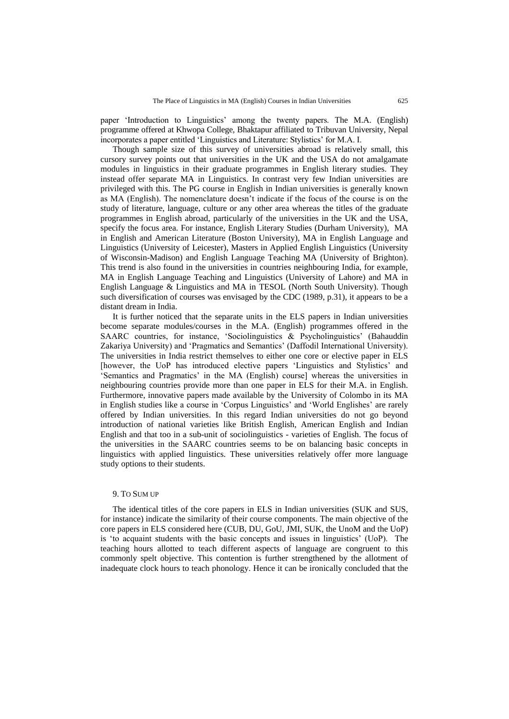paper 'Introduction to Linguistics' among the twenty papers. The M.A. (English) programme offered at Khwopa College, Bhaktapur affiliated to Tribuvan University, Nepal incorporates a paper entitled "Linguistics and Literature: Stylistics" for M.A. I.

Though sample size of this survey of universities abroad is relatively small, this cursory survey points out that universities in the UK and the USA do not amalgamate modules in linguistics in their graduate programmes in English literary studies. They instead offer separate MA in Linguistics. In contrast very few Indian universities are privileged with this. The PG course in English in Indian universities is generally known as MA (English). The nomenclature doesn"t indicate if the focus of the course is on the study of literature, language, culture or any other area whereas the titles of the graduate programmes in English abroad, particularly of the universities in the UK and the USA, specify the focus area. For instance, English Literary Studies (Durham University), MA in English and American Literature (Boston University), MA in English Language and Linguistics (University of Leicester), Masters in Applied English Linguistics (University of Wisconsin-Madison) and English Language Teaching MA (University of Brighton). This trend is also found in the universities in countries neighbouring India, for example, MA in English Language Teaching and Linguistics (University of Lahore) and MA in English Language & Linguistics and MA in TESOL (North South University). Though such diversification of courses was envisaged by the CDC (1989, p.31), it appears to be a distant dream in India.

It is further noticed that the separate units in the ELS papers in Indian universities become separate modules/courses in the M.A. (English) programmes offered in the SAARC countries, for instance, 'Sociolinguistics & Psycholinguistics' (Bahauddin Zakariya University) and "Pragmatics and Semantics" (Daffodil International University). The universities in India restrict themselves to either one core or elective paper in ELS [however, the UoP has introduced elective papers "Linguistics and Stylistics" and "Semantics and Pragmatics" in the MA (English) course] whereas the universities in neighbouring countries provide more than one paper in ELS for their M.A. in English. Furthermore, innovative papers made available by the University of Colombo in its MA in English studies like a course in "Corpus Linguistics" and "World Englishes" are rarely offered by Indian universities. In this regard Indian universities do not go beyond introduction of national varieties like British English, American English and Indian English and that too in a sub-unit of sociolinguistics - varieties of English. The focus of the universities in the SAARC countries seems to be on balancing basic concepts in linguistics with applied linguistics. These universities relatively offer more language study options to their students.

## 9. TO SUM UP

The identical titles of the core papers in ELS in Indian universities (SUK and SUS, for instance) indicate the similarity of their course components. The main objective of the core papers in ELS considered here (CUB, DU, GoU, JMI, SUK, the UnoM and the UoP) is "to acquaint students with the basic concepts and issues in linguistics" (UoP). The teaching hours allotted to teach different aspects of language are congruent to this commonly spelt objective. This contention is further strengthened by the allotment of inadequate clock hours to teach phonology. Hence it can be ironically concluded that the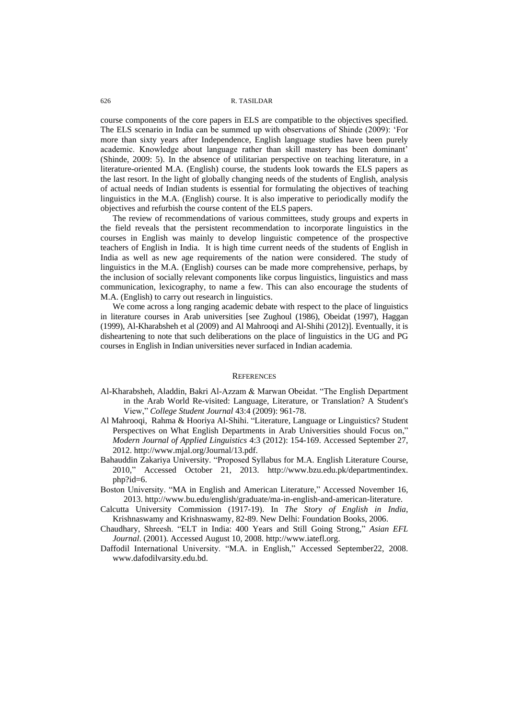course components of the core papers in ELS are compatible to the objectives specified. The ELS scenario in India can be summed up with observations of Shinde (2009): "For more than sixty years after Independence, English language studies have been purely academic. Knowledge about language rather than skill mastery has been dominant" (Shinde, 2009: 5). In the absence of utilitarian perspective on teaching literature, in a literature-oriented M.A. (English) course, the students look towards the ELS papers as the last resort. In the light of globally changing needs of the students of English, analysis of actual needs of Indian students is essential for formulating the objectives of teaching linguistics in the M.A. (English) course. It is also imperative to periodically modify the objectives and refurbish the course content of the ELS papers.

The review of recommendations of various committees, study groups and experts in the field reveals that the persistent recommendation to incorporate linguistics in the courses in English was mainly to develop linguistic competence of the prospective teachers of English in India. It is high time current needs of the students of English in India as well as new age requirements of the nation were considered. The study of linguistics in the M.A. (English) courses can be made more comprehensive, perhaps, by the inclusion of socially relevant components like corpus linguistics, linguistics and mass communication, lexicography, to name a few. This can also encourage the students of M.A. (English) to carry out research in linguistics.

We come across a long ranging academic debate with respect to the place of linguistics in literature courses in Arab universities [see Zughoul (1986), Obeidat (1997), Haggan (1999), Al-Kharabsheh et al (2009) and Al Mahrooqi and Al-Shihi (2012)]. Eventually, it is disheartening to note that such deliberations on the place of linguistics in the UG and PG courses in English in Indian universities never surfaced in Indian academia.

#### **REFERENCES**

- Al-Kharabsheh, Aladdin, Bakri Al-Azzam & Marwan Obeidat. "The English Department in the Arab World Re-visited: Language, Literature, or Translation? A Student's View," *College Student Journal* 43:4 (2009): 961-78.
- Al Mahrooqi, Rahma & Hooriya Al-Shihi. "Literature, Language or Linguistics? Student Perspectives on What English Departments in Arab Universities should Focus on," *Modern Journal of Applied Linguistics* 4:3 (2012): 154-169. Accessed September 27, 2012. [http://www.mjal.org/Journal/13.pdf.](http://www.mjal.org/Journal/13.pdf)
- Bahauddin Zakariya University. "Proposed Syllabus for M.A. English Literature Course, 2010," Accessed October 21, 2013. [http://www.bzu.edu.pk/departmentindex.](http://www.bzu.edu.pk/departmentindex.php?id=6) [php?id=6.](http://www.bzu.edu.pk/departmentindex.php?id=6)
- Boston University. "MA in English and American Literature," Accessed November 16, 2013. <http://www.bu.edu/english/graduate/ma-in-english-and-american-literature.>
- Calcutta University Commission (1917-19). In *The Story of English in India*, Krishnaswamy and Krishnaswamy, 82-89. New Delhi: Foundation Books, 2006.
- Chaudhary, Shreesh. "ELT in India: 400 Years and Still Going Strong," *Asian EFL Journal*. (2001)*.* Accessed August 10, 2008. [http://www.iatefl.org.](http://www.iatefl.org/)
- Daffodil International University. "M.A. in English," Accessed September22, 2008. [www.dafodilvarsity.edu.bd.](http://www.dafodilvarsity.edu.bd/)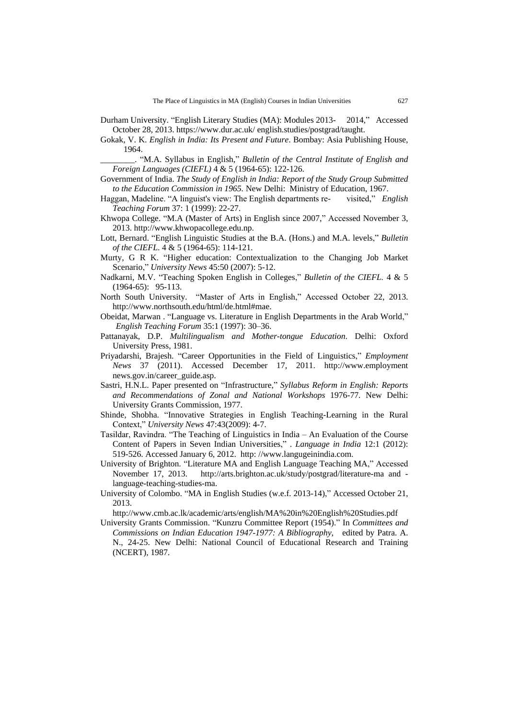- Durham University. "English Literary Studies (MA): Modules 2013- 2014," Accessed October 28, 2013[. https://www.dur.ac.uk/ english.studies/postgrad/taught.](https://www.dur.ac.uk/%20english.studies/postgrad/taught.)
- Gokak, V. K. *English in India: Its Present and Future*. Bombay: Asia Publishing House, 1964.

\_\_\_\_\_\_\_\_. "M.A. Syllabus in English," *Bulletin of the Central Institute of English and Foreign Languages (CIEFL)* 4 & 5 (1964-65): 122-126.

- Government of India. *The Study of English in India: Report of the Study Group Submitted to the Education Commission in 1965.* New Delhi: Ministry of Education, 1967.
- Haggan, Madeline. "A linguist's view: The English departments re- visited," *English Teaching Forum* 37: 1 (1999): 22-27.
- Khwopa College. ["M.A \(Master of Arts\) in English since 2007,"](http://college.khwopacollege.edu.np/page/detial/14) Accessed November 3, 2013. [http://www.khwopacollege.edu.np.](http://www.khwopacollege.edu.np/)
- Lott, Bernard. "English Linguistic Studies at the B.A. (Hons.) and M.A. levels," *Bulletin of the CIEFL*. 4 & 5 (1964-65): 114-121.
- Murty, G R K. "Higher education: Contextualization to the Changing Job Market Scenario," *University News* 45:50 (2007): 5-12.
- Nadkarni, M.V. "Teaching Spoken English in Colleges," *Bulletin of the CIEFL.* 4 & 5 (1964-65): 95-113.
- North South University. "Master of Arts in English," Accessed October 22, 2013. [http://www.northsouth.edu/html/de.html#mae.](http://www.northsouth.edu/html/de.html#mae)
- Obeidat, Marwan . "Language vs. Literature in English Departments in the Arab World," *English Teaching Forum* 35:1 (1997): 30–36.
- Pattanayak, D.P. *Multilingualism and Mother-tongue Education*. Delhi: Oxford University Press, 1981.
- Priyadarshi, Brajesh. "Career Opportunities in the Field of Linguistics," *Employment News* 37 (2011). Accessed December 17, 2011. http://www.employment news.gov.in/career\_guide.asp.
- Sastri, H.N.L. Paper presented on "Infrastructure," *Syllabus Reform in English: Reports and Recommendations of Zonal and National Workshops* 1976-77*.* New Delhi: University Grants Commission, 1977.
- Shinde, Shobha. "Innovative Strategies in English Teaching-Learning in the Rural Context," *University News* 47:43(2009): 4-7.
- Tasildar, Ravindra. "The Teaching of Linguistics in India An Evaluation of the Course Content of Papers in Seven Indian Universities," . *Language in India* 12:1 (2012): 519-526. Accessed January 6, 2012. http: /[/www.langugeinindia.com.](http://www.langugeinindia.com/)
- University of Brighton. "Literature MA and English Language Teaching MA," Accessed November 17, 2013. <http://arts.brighton.ac.uk/study/postgrad/literature-ma> and  [language-teaching-studies-ma.](http://arts.brighton.ac.uk/study/postgrad/english-language-teaching-studies-ma)
- University of Colombo. "MA in English Studies (w.e.f. 2013-14)," Accessed October 21, 2013.

<http://www.cmb.ac.lk/academic/arts/english/MA%20in%20English%20Studies.pdf>

University Grants Commission. "Kunzru Committee Report (1954)." In *Committees and Commissions on Indian Education 1947-1977: A Bibliography*, edited by Patra. A. N., 24-25. New Delhi: National Council of Educational Research and Training (NCERT), 1987.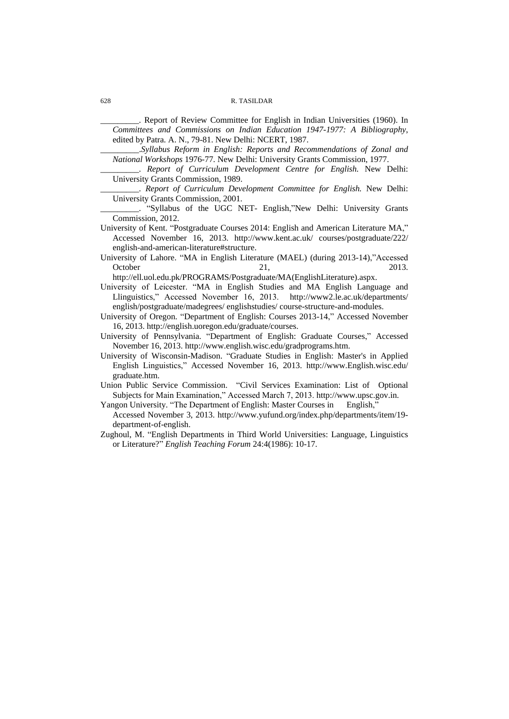\_\_\_\_\_\_\_\_\_. Report of Review Committee for English in Indian Universities (1960). In *Committees and Commissions on Indian Education 1947-1977: A Bibliography*, edited by Patra. A. N., 79-81. New Delhi: NCERT, 1987.

\_\_\_\_\_\_\_\_\_.*Syllabus Reform in English: Reports and Recommendations of Zonal and National Workshops* 1976-77*.* New Delhi: University Grants Commission, 1977.

\_\_\_\_\_\_\_\_\_. *Report of Curriculum Development Centre for English.* New Delhi: University Grants Commission, 1989.

\_\_\_\_\_\_\_\_\_. *Report of Curriculum Development Committee for English.* New Delhi: University Grants Commission, 2001.

\_\_\_\_\_\_\_\_\_. "Syllabus of the UGC NET- English,"New Delhi: University Grants Commission, 2012.

- University of Kent. "Postgraduate Courses 2014: English and American Literature MA," Accessed November 16, 2013. [http://www.kent.ac.uk/ courses/postgraduate/222/](http://www.kent.ac.uk/%20courses/)  [english-and-american-literature#structure.](http://www.kent.ac.uk/courses/postgraduate/222/english-and-american-literature#structure)
- University of Lahore. "MA in English Literature (MAEL) (during 2013-14),"Accessed October 21, 2013.

[http://ell.uol.edu.pk/PROGRAMS/Postgraduate/MA\(EnglishLiterature\).aspx.](http://ell.uol.edu.pk/PROGRAMS/Postgraduate/MA(EnglishLiterature).aspx)

- University of Leicester. "MA in English Studies and MA English Language and Llinguistics," Accessed November 16, 2013. [http://www2.le.ac.uk/departments/](http://www2.le.ac.uk/departments/english/postgraduate/madegrees/%20englishstudies/%20course-structure-and-modules) [english/postgraduate/madegrees/ englishstudies/ course-structure-and-modules.](http://www2.le.ac.uk/departments/english/postgraduate/madegrees/%20englishstudies/%20course-structure-and-modules)
- University of Oregon. "Department of English: Courses 2013-14," Accessed November 16, 2013. [http://english.uoregon.edu/graduate/courses.](http://english.uoregon.edu/graduate/courses)
- University of Pennsylvania. "Department of English: Graduate Courses," Accessed November 16, 2013[. http://www.english.wisc.edu/gradprograms.htm.](http://www.english.wisc.edu/gradprograms.htm)
- University of Wisconsin-Madison. "Graduate Studies in English: Master's in Applied English Linguistics," Accessed November 16, 2013. [http://www.English.wisc.edu/](http://www.english.wisc.edu/graduate.htm) [graduate.htm.](http://www.english.wisc.edu/graduate.htm)
- Union Public Service Commission. "Civil Services Examination: List of Optional Subjects for Main Examination," Accessed March 7, 2013. http://www.upsc.gov.in.

Yangon University. "The Department of English: Master Courses in English,"

- Accessed November 3, 2013. [http://www.yufund.org/index.php/departments/item/19](http://www.yufund.org/index.php/departments/item/19-department-of-english) [department-of-english.](http://www.yufund.org/index.php/departments/item/19-department-of-english)
- Zughoul, M. "English Departments in Third World Universities: Language, Linguistics or Literature?" *English Teaching Forum* 24:4(1986): 10-17.